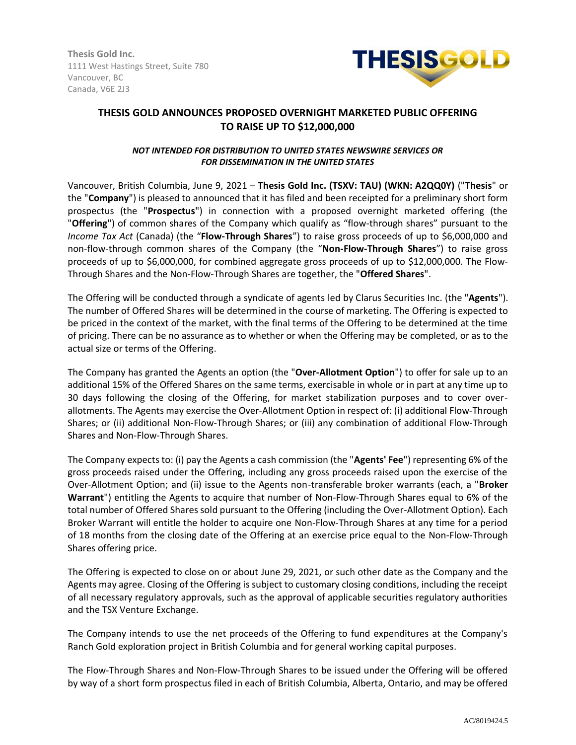**Thesis Gold Inc.** 1111 West Hastings Street, Suite 780 Vancouver, BC Canada, V6E 2J3



# **THESIS GOLD ANNOUNCES PROPOSED OVERNIGHT MARKETED PUBLIC OFFERING TO RAISE UP TO \$12,000,000**

## *NOT INTENDED FOR DISTRIBUTION TO UNITED STATES NEWSWIRE SERVICES OR FOR DISSEMINATION IN THE UNITED STATES*

Vancouver, British Columbia, June 9, 2021 – **Thesis Gold Inc. (TSXV: TAU) (WKN: A2QQ0Y)** ("**Thesis**" or the "**Company**") is pleased to announced that it has filed and been receipted for a preliminary short form prospectus (the "**Prospectus**") in connection with a proposed overnight marketed offering (the "**Offering**") of common shares of the Company which qualify as "flow-through shares" pursuant to the *Income Tax Act* (Canada) (the "**Flow-Through Shares**") to raise gross proceeds of up to \$6,000,000 and non-flow-through common shares of the Company (the "**Non-Flow-Through Shares**") to raise gross proceeds of up to \$6,000,000, for combined aggregate gross proceeds of up to \$12,000,000. The Flow-Through Shares and the Non-Flow-Through Shares are together, the "**Offered Shares**".

The Offering will be conducted through a syndicate of agents led by Clarus Securities Inc. (the "**Agents**"). The number of Offered Shares will be determined in the course of marketing. The Offering is expected to be priced in the context of the market, with the final terms of the Offering to be determined at the time of pricing. There can be no assurance as to whether or when the Offering may be completed, or as to the actual size or terms of the Offering.

The Company has granted the Agents an option (the "**Over-Allotment Option**") to offer for sale up to an additional 15% of the Offered Shares on the same terms, exercisable in whole or in part at any time up to 30 days following the closing of the Offering, for market stabilization purposes and to cover overallotments. The Agents may exercise the Over-Allotment Option in respect of: (i) additional Flow-Through Shares; or (ii) additional Non-Flow-Through Shares; or (iii) any combination of additional Flow-Through Shares and Non-Flow-Through Shares.

The Company expects to: (i) pay the Agents a cash commission (the "**Agents' Fee**") representing 6% of the gross proceeds raised under the Offering, including any gross proceeds raised upon the exercise of the Over-Allotment Option; and (ii) issue to the Agents non-transferable broker warrants (each, a "**Broker Warrant**") entitling the Agents to acquire that number of Non-Flow-Through Shares equal to 6% of the total number of Offered Shares sold pursuant to the Offering (including the Over-Allotment Option). Each Broker Warrant will entitle the holder to acquire one Non-Flow-Through Shares at any time for a period of 18 months from the closing date of the Offering at an exercise price equal to the Non-Flow-Through Shares offering price.

The Offering is expected to close on or about June 29, 2021, or such other date as the Company and the Agents may agree. Closing of the Offering is subject to customary closing conditions, including the receipt of all necessary regulatory approvals, such as the approval of applicable securities regulatory authorities and the TSX Venture Exchange.

The Company intends to use the net proceeds of the Offering to fund expenditures at the Company's Ranch Gold exploration project in British Columbia and for general working capital purposes.

The Flow-Through Shares and Non-Flow-Through Shares to be issued under the Offering will be offered by way of a short form prospectus filed in each of British Columbia, Alberta, Ontario, and may be offered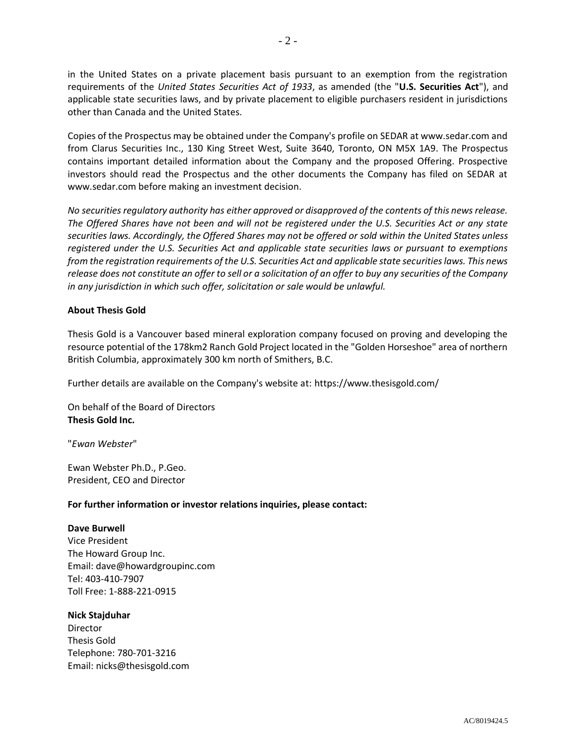in the United States on a private placement basis pursuant to an exemption from the registration requirements of the *United States Securities Act of 1933*, as amended (the "**U.S. Securities Act**"), and applicable state securities laws, and by private placement to eligible purchasers resident in jurisdictions other than Canada and the United States.

Copies of the Prospectus may be obtained under the Company's profile on SEDAR at www.sedar.com and from Clarus Securities Inc., 130 King Street West, Suite 3640, Toronto, ON M5X 1A9. The Prospectus contains important detailed information about the Company and the proposed Offering. Prospective investors should read the Prospectus and the other documents the Company has filed on SEDAR at www.sedar.com before making an investment decision.

*No securities regulatory authority has either approved or disapproved of the contents of this news release. The Offered Shares have not been and will not be registered under the U.S. Securities Act or any state securities laws. Accordingly, the Offered Shares may not be offered or sold within the United States unless registered under the U.S. Securities Act and applicable state securities laws or pursuant to exemptions from the registration requirements of the U.S. Securities Act and applicable state securities laws. This news release does not constitute an offer to sell or a solicitation of an offer to buy any securities of the Company in any jurisdiction in which such offer, solicitation or sale would be unlawful.*

# **About Thesis Gold**

Thesis Gold is a Vancouver based mineral exploration company focused on proving and developing the resource potential of the 178km2 Ranch Gold Project located in the "Golden Horseshoe" area of northern British Columbia, approximately 300 km north of Smithers, B.C.

Further details are available on the Company's website at: https://www.thesisgold.com/

On behalf of the Board of Directors **Thesis Gold Inc.**

"*Ewan Webster*"

Ewan Webster Ph.D., P.Geo. President, CEO and Director

#### **For further information or investor relations inquiries, please contact:**

#### **Dave Burwell**

Vice President The Howard Group Inc. Email: dave@howardgroupinc.com Tel: 403-410-7907 Toll Free: 1-888-221-0915

#### **Nick Stajduhar**

Director Thesis Gold Telephone: 780-701-3216 Email: nicks@thesisgold.com